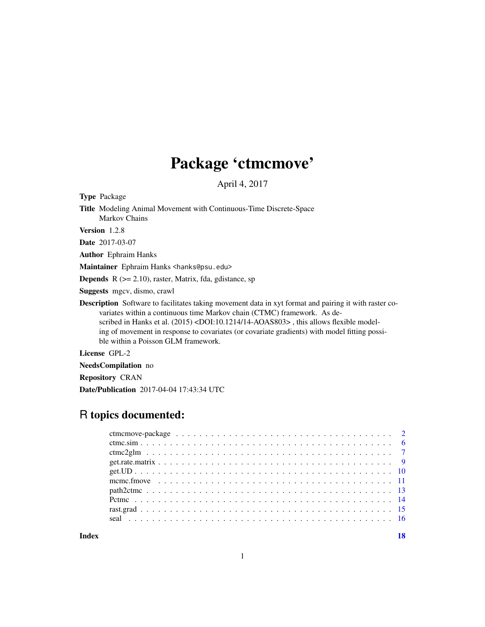## Package 'ctmcmove'

April 4, 2017

Type Package

Title Modeling Animal Movement with Continuous-Time Discrete-Space Markov Chains Version 1.2.8 Date 2017-03-07 Author Ephraim Hanks Maintainer Ephraim Hanks <hanks@psu.edu> **Depends**  $R$  ( $>= 2.10$ ), raster, Matrix, fda, gdistance, sp Suggests mgcv, dismo, crawl Description Software to facilitates taking movement data in xyt format and pairing it with raster covariates within a continuous time Markov chain (CTMC) framework. As de-

scribed in Hanks et al. (2015) <DOI:10.1214/14-AOAS803>, this allows flexible modeling of movement in response to covariates (or covariate gradients) with model fitting possible within a Poisson GLM framework.

License GPL-2

NeedsCompilation no

Repository CRAN

Date/Publication 2017-04-04 17:43:34 UTC

## R topics documented:

| $get.UD$ |  |  |  |  |  |  |  |  |  |  |  |  |  |  |  |  |  |  |  |
|----------|--|--|--|--|--|--|--|--|--|--|--|--|--|--|--|--|--|--|--|
|          |  |  |  |  |  |  |  |  |  |  |  |  |  |  |  |  |  |  |  |
|          |  |  |  |  |  |  |  |  |  |  |  |  |  |  |  |  |  |  |  |
|          |  |  |  |  |  |  |  |  |  |  |  |  |  |  |  |  |  |  |  |
|          |  |  |  |  |  |  |  |  |  |  |  |  |  |  |  |  |  |  |  |
|          |  |  |  |  |  |  |  |  |  |  |  |  |  |  |  |  |  |  |  |
|          |  |  |  |  |  |  |  |  |  |  |  |  |  |  |  |  |  |  |  |

**Index** 2008 **[18](#page-17-0)**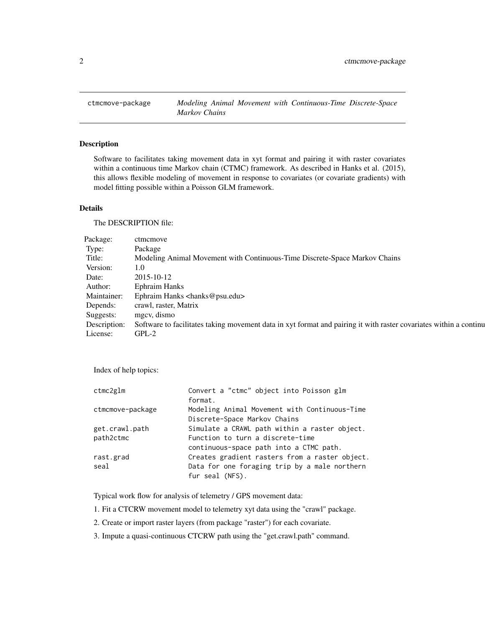<span id="page-1-0"></span>

## Description

Software to facilitates taking movement data in xyt format and pairing it with raster covariates within a continuous time Markov chain (CTMC) framework. As described in Hanks et al. (2015), this allows flexible modeling of movement in response to covariates (or covariate gradients) with model fitting possible within a Poisson GLM framework.

## Details

The DESCRIPTION file:

| Package:     | ctmcmove                                                                                                          |
|--------------|-------------------------------------------------------------------------------------------------------------------|
| Type:        | Package                                                                                                           |
| Title:       | Modeling Animal Movement with Continuous-Time Discrete-Space Markov Chains                                        |
| Version:     | 1.0                                                                                                               |
| Date:        | 2015-10-12                                                                                                        |
| Author:      | <b>Ephraim Hanks</b>                                                                                              |
| Maintainer:  | Ephraim Hanks <hanks@psu.edu></hanks@psu.edu>                                                                     |
| Depends:     | crawl, raster, Matrix                                                                                             |
| Suggests:    | mgcv, dismo                                                                                                       |
| Description: | Software to facilitates taking movement data in xyt format and pairing it with raster covariates within a continu |
| License:     | $GPL-2$                                                                                                           |

Index of help topics:

| ctmc2g1m         | Convert a "ctmc" object into Poisson glm       |
|------------------|------------------------------------------------|
|                  | format.                                        |
| ctmcmove-package | Modeling Animal Movement with Continuous-Time  |
|                  | Discrete-Space Markov Chains                   |
| get.crawl.path   | Simulate a CRAWL path within a raster object.  |
| path2ctmc        | Function to turn a discrete-time               |
|                  | continuous-space path into a CTMC path.        |
| rast.grad        | Creates gradient rasters from a raster object. |
| seal             | Data for one foraging trip by a male northern  |
|                  | fur seal (NFS).                                |
|                  |                                                |

Typical work flow for analysis of telemetry / GPS movement data:

1. Fit a CTCRW movement model to telemetry xyt data using the "crawl" package.

- 2. Create or import raster layers (from package "raster") for each covariate.
- 3. Impute a quasi-continuous CTCRW path using the "get.crawl.path" command.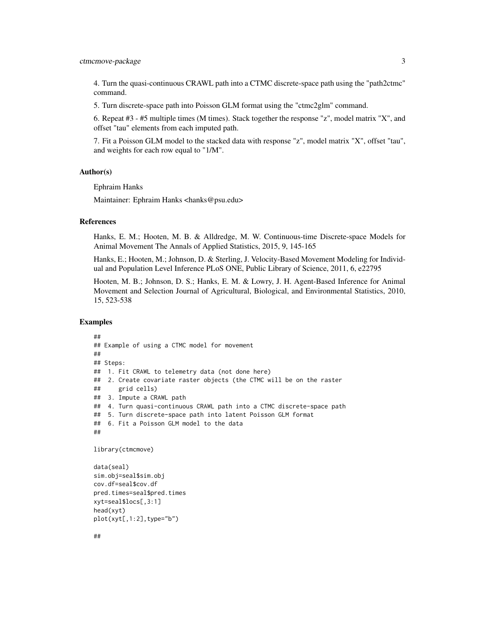4. Turn the quasi-continuous CRAWL path into a CTMC discrete-space path using the "path2ctmc" command.

5. Turn discrete-space path into Poisson GLM format using the "ctmc2glm" command.

6. Repeat #3 - #5 multiple times (M times). Stack together the response "z", model matrix "X", and offset "tau" elements from each imputed path.

7. Fit a Poisson GLM model to the stacked data with response "z", model matrix "X", offset "tau", and weights for each row equal to "1/M".

## Author(s)

Ephraim Hanks

Maintainer: Ephraim Hanks <hanks@psu.edu>

## References

Hanks, E. M.; Hooten, M. B. & Alldredge, M. W. Continuous-time Discrete-space Models for Animal Movement The Annals of Applied Statistics, 2015, 9, 145-165

Hanks, E.; Hooten, M.; Johnson, D. & Sterling, J. Velocity-Based Movement Modeling for Individual and Population Level Inference PLoS ONE, Public Library of Science, 2011, 6, e22795

Hooten, M. B.; Johnson, D. S.; Hanks, E. M. & Lowry, J. H. Agent-Based Inference for Animal Movement and Selection Journal of Agricultural, Biological, and Environmental Statistics, 2010, 15, 523-538

## Examples

```
##
## Example of using a CTMC model for movement
##
## Steps:
## 1. Fit CRAWL to telemetry data (not done here)
## 2. Create covariate raster objects (the CTMC will be on the raster
## grid cells)
## 3. Impute a CRAWL path
## 4. Turn quasi-continuous CRAWL path into a CTMC discrete-space path
## 5. Turn discrete-space path into latent Poisson GLM format
## 6. Fit a Poisson GLM model to the data
##
library(ctmcmove)
data(seal)
sim.obj=seal$sim.obj
cov.df=seal$cov.df
pred.times=seal$pred.times
```
xyt=seal\$locs[,3:1] head(xyt)

plot(xyt[,1:2],type="b")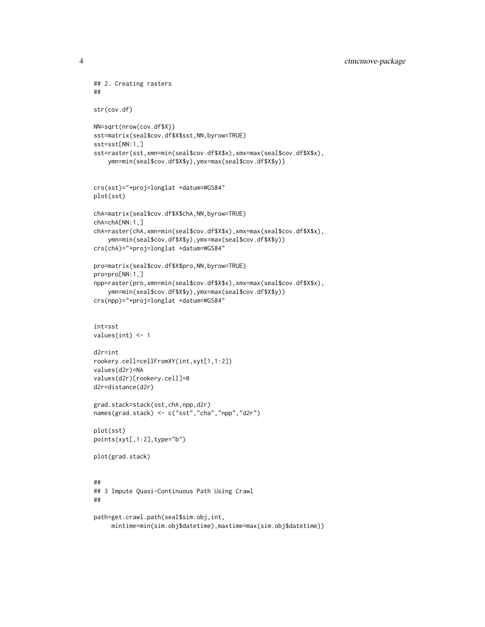```
## 2. Creating rasters
##
str(cov.df)
NN=sqrt(nrow(cov.df$X))
sst=matrix(seal$cov.df$X$sst,NN,byrow=TRUE)
sst=sst[NN:1,]
sst=raster(sst,xmn=min(seal$cov.df$X$x),xmx=max(seal$cov.df$X$x),
    ymn=min(seal$cov.df$X$y),ymx=max(seal$cov.df$X$y))
crs(sst)="+proj=longlat +datum=WGS84"
plot(sst)
chA=matrix(seal$cov.df$X$chA,NN,byrow=TRUE)
chA=chA[NN:1,]
chA=raster(chA,xmn=min(seal$cov.df$X$x),xmx=max(seal$cov.df$X$x),
    ymn=min(seal$cov.df$X$y),ymx=max(seal$cov.df$X$y))
crs(chA)="+proj=longlat +datum=WGS84"
pro=matrix(seal$cov.df$X$pro,NN,byrow=TRUE)
pro=pro[NN:1,]
npp=raster(pro,xmn=min(seal$cov.df$X$x),xmx=max(seal$cov.df$X$x),
    ymn=min(seal$cov.df$X$y),ymx=max(seal$cov.df$X$y))
crs(npp)="+proj=longlat +datum=WGS84"
int=sst
values(int) <- 1
d2r=int
rookery.cell=cellFromXY(int,xyt[1,1:2])
values(d2r)=NA
values(d2r)[rookery.cell]=0
d2r=distance(d2r)
grad.stack=stack(sst,chA,npp,d2r)
names(grad.stack) <- c("sst","cha","npp","d2r")
plot(sst)
points(xyt[,1:2],type="b")
plot(grad.stack)
##
## 3 Impute Quasi-Continuous Path Using Crawl
##
path=get.crawl.path(seal$sim.obj,int,
```

```
mintime=min(sim.obj$datetime),maxtime=max(sim.obj$datetime))
```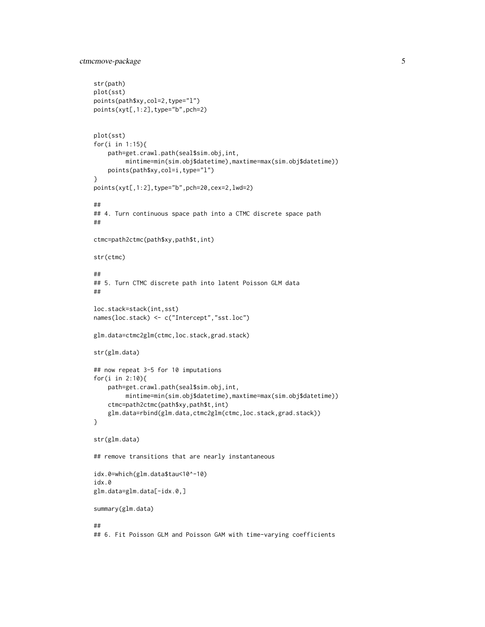```
ctmcmove-package 5
```

```
str(path)
plot(sst)
points(path$xy,col=2,type="l")
points(xyt[,1:2],type="b",pch=2)
plot(sst)
for(i in 1:15){
    path=get.crawl.path(seal$sim.obj,int,
         mintime=min(sim.obj$datetime),maxtime=max(sim.obj$datetime))
    points(path$xy,col=i,type="l")
}
points(xyt[,1:2],type="b",pch=20,cex=2,lwd=2)
##
## 4. Turn continuous space path into a CTMC discrete space path
##
ctmc=path2ctmc(path$xy,path$t,int)
str(ctmc)
##
## 5. Turn CTMC discrete path into latent Poisson GLM data
##
loc.stack=stack(int,sst)
names(loc.stack) <- c("Intercept","sst.loc")
glm.data=ctmc2glm(ctmc,loc.stack,grad.stack)
str(glm.data)
## now repeat 3-5 for 10 imputations
for(i in 2:10){
   path=get.crawl.path(seal$sim.obj,int,
         mintime=min(sim.obj$datetime),maxtime=max(sim.obj$datetime))
    ctmc=path2ctmc(path$xy,path$t,int)
    glm.data=rbind(glm.data,ctmc2glm(ctmc,loc.stack,grad.stack))
}
str(glm.data)
## remove transitions that are nearly instantaneous
idx.0=which(glm.data$tau<10^-10)
idx.0
glm.data=glm.data[-idx.0,]
summary(glm.data)
##
## 6. Fit Poisson GLM and Poisson GAM with time-varying coefficients
```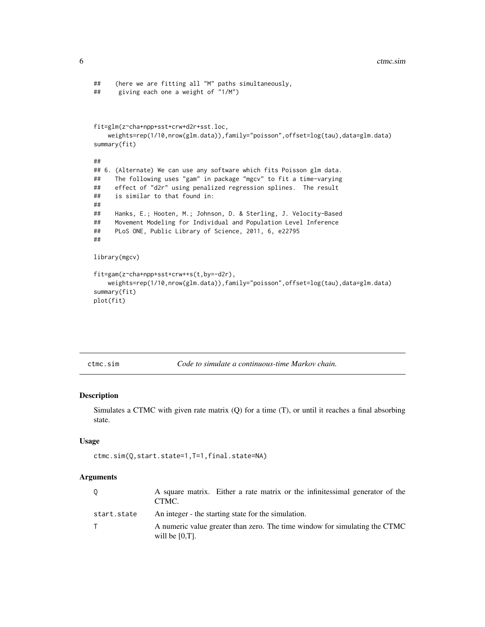```
## (here we are fitting all "M" paths simultaneously,
## giving each one a weight of "1/M")
fit=glm(z~cha+npp+sst+crw+d2r+sst.loc,
   weights=rep(1/10,nrow(glm.data)),family="poisson",offset=log(tau),data=glm.data)
summary(fit)
##
## 6. (Alternate) We can use any software which fits Poisson glm data.
## The following uses "gam" in package "mgcv" to fit a time-varying
## effect of "d2r" using penalized regression splines. The result
## is similar to that found in:
##
## Hanks, E.; Hooten, M.; Johnson, D. & Sterling, J. Velocity-Based
## Movement Modeling for Individual and Population Level Inference
## PLoS ONE, Public Library of Science, 2011, 6, e22795
##
library(mgcv)
fit=gam(z~cha+npp+sst+crw++s(t,by=-d2r),
   weights=rep(1/10,nrow(glm.data)),family="poisson",offset=log(tau),data=glm.data)
summary(fit)
plot(fit)
```
ctmc.sim *Code to simulate a continuous-time Markov chain.*

## Description

Simulates a CTMC with given rate matrix (Q) for a time (T), or until it reaches a final absorbing state.

## Usage

```
ctmc.sim(Q,start.state=1,T=1,final.state=NA)
```

| $\circ$     | A square matrix. Either a rate matrix or the infinitesimal generator of the<br>CTMC.            |
|-------------|-------------------------------------------------------------------------------------------------|
| start.state | An integer - the starting state for the simulation.                                             |
|             | A numeric value greater than zero. The time window for simulating the CTMC<br>will be $[0,T]$ . |

<span id="page-5-0"></span>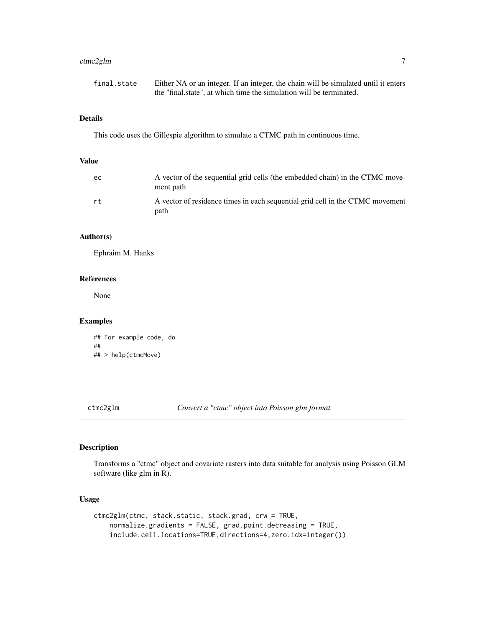## <span id="page-6-0"></span>ctmc2glm 7

| final.state | Either NA or an integer. If an integer, the chain will be simulated until it enters |
|-------------|-------------------------------------------------------------------------------------|
|             | the "final state", at which time the simulation will be terminated.                 |

## Details

This code uses the Gillespie algorithm to simulate a CTMC path in continuous time.

## Value

| ec. | A vector of the sequential grid cells (the embedded chain) in the CTMC move-<br>ment path |
|-----|-------------------------------------------------------------------------------------------|
| rt. | A vector of residence times in each sequential grid cell in the CTMC movement<br>path     |

## Author(s)

Ephraim M. Hanks

## References

None

## Examples

```
## For example code, do
##
## > help(ctmcMove)
```
ctmc2glm *Convert a "ctmc" object into Poisson glm format.*

## Description

Transforms a "ctmc" object and covariate rasters into data suitable for analysis using Poisson GLM software (like glm in R).

## Usage

```
ctmc2glm(ctmc, stack.static, stack.grad, crw = TRUE,
    normalize.gradients = FALSE, grad.point.decreasing = TRUE,
    include.cell.locations=TRUE,directions=4,zero.idx=integer())
```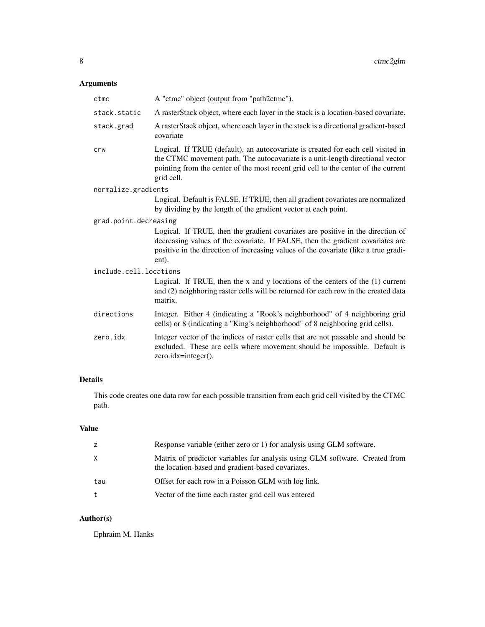## Arguments

| ctmc                   | A "ctmc" object (output from "path2ctmc").                                                                                                                                                                                                                            |
|------------------------|-----------------------------------------------------------------------------------------------------------------------------------------------------------------------------------------------------------------------------------------------------------------------|
| stack.static           | A rasterStack object, where each layer in the stack is a location-based covariate.                                                                                                                                                                                    |
| stack.grad             | A rasterStack object, where each layer in the stack is a directional gradient-based<br>covariate                                                                                                                                                                      |
| crw                    | Logical. If TRUE (default), an autocovariate is created for each cell visited in<br>the CTMC movement path. The autocovariate is a unit-length directional vector<br>pointing from the center of the most recent grid cell to the center of the current<br>grid cell. |
| normalize.gradients    |                                                                                                                                                                                                                                                                       |
|                        | Logical. Default is FALSE. If TRUE, then all gradient covariates are normalized<br>by dividing by the length of the gradient vector at each point.                                                                                                                    |
| grad.point.decreasing  |                                                                                                                                                                                                                                                                       |
|                        | Logical. If TRUE, then the gradient covariates are positive in the direction of<br>decreasing values of the covariate. If FALSE, then the gradient covariates are<br>positive in the direction of increasing values of the covariate (like a true gradi-<br>ent).     |
| include.cell.locations |                                                                                                                                                                                                                                                                       |
|                        | Logical. If TRUE, then the $x$ and $y$ locations of the centers of the $(1)$ current<br>and (2) neighboring raster cells will be returned for each row in the created data<br>matrix.                                                                                 |
| directions             | Integer. Either 4 (indicating a "Rook's neighborhood" of 4 neighboring grid<br>cells) or 8 (indicating a "King's neighborhood" of 8 neighboring grid cells).                                                                                                          |
| zero.idx               | Integer vector of the indices of raster cells that are not passable and should be<br>excluded. These are cells where movement should be impossible. Default is<br>zero.idx=integer().                                                                                 |

## Details

This code creates one data row for each possible transition from each grid cell visited by the CTMC path.

## Value

| z   | Response variable (either zero or 1) for analysis using GLM software.                                                            |
|-----|----------------------------------------------------------------------------------------------------------------------------------|
| X   | Matrix of predictor variables for analysis using GLM software. Created from<br>the location-based and gradient-based covariates. |
| tau | Offset for each row in a Poisson GLM with log link.                                                                              |
| t   | Vector of the time each raster grid cell was entered                                                                             |

## Author(s)

Ephraim M. Hanks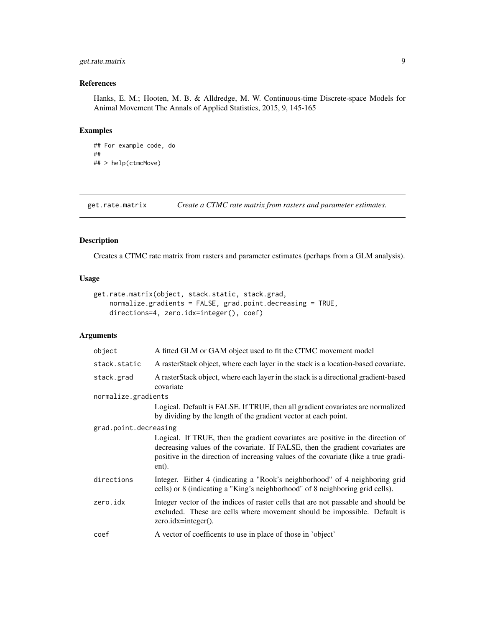## <span id="page-8-0"></span>get.rate.matrix 9

## References

Hanks, E. M.; Hooten, M. B. & Alldredge, M. W. Continuous-time Discrete-space Models for Animal Movement The Annals of Applied Statistics, 2015, 9, 145-165

## Examples

```
## For example code, do
##
## > help(ctmcMove)
```
get.rate.matrix *Create a CTMC rate matrix from rasters and parameter estimates.*

## Description

Creates a CTMC rate matrix from rasters and parameter estimates (perhaps from a GLM analysis).

## Usage

```
get.rate.matrix(object, stack.static, stack.grad,
   normalize.gradients = FALSE, grad.point.decreasing = TRUE,
   directions=4, zero.idx=integer(), coef)
```

| object                | A fitted GLM or GAM object used to fit the CTMC movement model                                                                                                                                                                                                    |
|-----------------------|-------------------------------------------------------------------------------------------------------------------------------------------------------------------------------------------------------------------------------------------------------------------|
| stack.static          | A rasterStack object, where each layer in the stack is a location-based covariate.                                                                                                                                                                                |
| stack.grad            | A rasterStack object, where each layer in the stack is a directional gradient-based<br>covariate                                                                                                                                                                  |
| normalize.gradients   |                                                                                                                                                                                                                                                                   |
|                       | Logical. Default is FALSE. If TRUE, then all gradient covariates are normalized<br>by dividing by the length of the gradient vector at each point.                                                                                                                |
| grad.point.decreasing |                                                                                                                                                                                                                                                                   |
|                       | Logical. If TRUE, then the gradient covariates are positive in the direction of<br>decreasing values of the covariate. If FALSE, then the gradient covariates are<br>positive in the direction of increasing values of the covariate (like a true gradi-<br>ent). |
| directions            | Integer. Either 4 (indicating a "Rook's neighborhood" of 4 neighboring grid<br>cells) or 8 (indicating a "King's neighborhood" of 8 neighboring grid cells).                                                                                                      |
| zero.idx              | Integer vector of the indices of raster cells that are not passable and should be<br>excluded. These are cells where movement should be impossible. Default is<br>$zero.idx = integer()$ .                                                                        |
| coef                  | A vector of coefficents to use in place of those in 'object'                                                                                                                                                                                                      |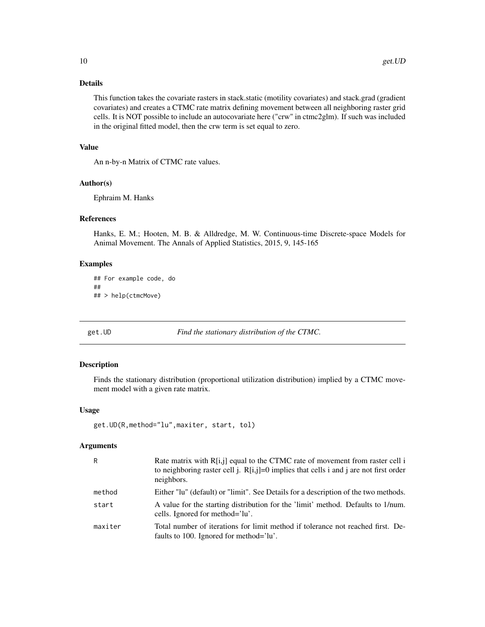## <span id="page-9-0"></span>Details

This function takes the covariate rasters in stack.static (motility covariates) and stack.grad (gradient covariates) and creates a CTMC rate matrix defining movement between all neighboring raster grid cells. It is NOT possible to include an autocovariate here ("crw" in ctmc2glm). If such was included in the original fitted model, then the crw term is set equal to zero.

## Value

An n-by-n Matrix of CTMC rate values.

## Author(s)

Ephraim M. Hanks

#### References

Hanks, E. M.; Hooten, M. B. & Alldredge, M. W. Continuous-time Discrete-space Models for Animal Movement. The Annals of Applied Statistics, 2015, 9, 145-165

## Examples

```
## For example code, do
##
## > help(ctmcMove)
```
get.UD *Find the stationary distribution of the CTMC.*

## Description

Finds the stationary distribution (proportional utilization distribution) implied by a CTMC movement model with a given rate matrix.

## Usage

```
get.UD(R,method="lu",maxiter, start, tol)
```

| R       | Rate matrix with $R[i,j]$ equal to the CTMC rate of movement from raster cell i<br>to neighboring raster cell j. $R[i,j]=0$ implies that cells i and j are not first order<br>neighbors. |
|---------|------------------------------------------------------------------------------------------------------------------------------------------------------------------------------------------|
| method  | Either "lu" (default) or "limit". See Details for a description of the two methods.                                                                                                      |
| start   | A value for the starting distribution for the 'limit' method. Defaults to 1/num.<br>cells. Ignored for method='lu'.                                                                      |
| maxiter | Total number of iterations for limit method if tolerance not reached first. De-<br>faults to 100. Ignored for method='lu'.                                                               |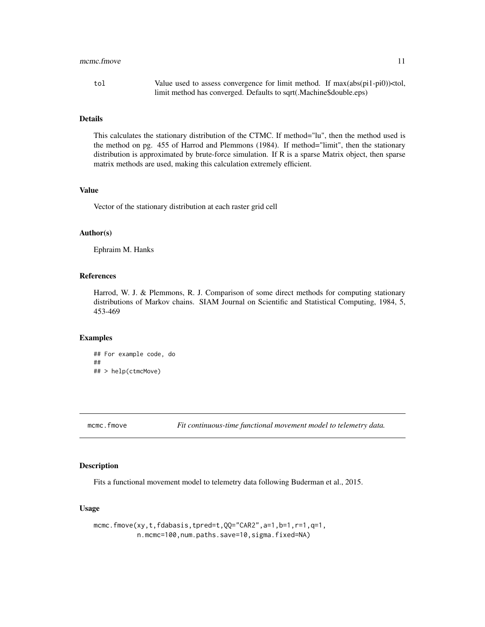#### <span id="page-10-0"></span>mcmc.fmove 11

tol Value used to assess convergence for limit method. If max(abs(pi1-pi0)) $lt$ tol, limit method has converged. Defaults to sqrt(.Machine\$double.eps)

#### Details

This calculates the stationary distribution of the CTMC. If method="lu", then the method used is the method on pg. 455 of Harrod and Plemmons (1984). If method="limit", then the stationary distribution is approximated by brute-force simulation. If R is a sparse Matrix object, then sparse matrix methods are used, making this calculation extremely efficient.

## Value

Vector of the stationary distribution at each raster grid cell

## Author(s)

Ephraim M. Hanks

## References

Harrod, W. J. & Plemmons, R. J. Comparison of some direct methods for computing stationary distributions of Markov chains. SIAM Journal on Scientific and Statistical Computing, 1984, 5, 453-469

## Examples

```
## For example code, do
##
## > help(ctmcMove)
```
mcmc.fmove *Fit continuous-time functional movement model to telemetry data.*

## Description

Fits a functional movement model to telemetry data following Buderman et al., 2015.

## Usage

mcmc.fmove(xy,t,fdabasis,tpred=t,QQ="CAR2",a=1,b=1,r=1,q=1, n.mcmc=100,num.paths.save=10,sigma.fixed=NA)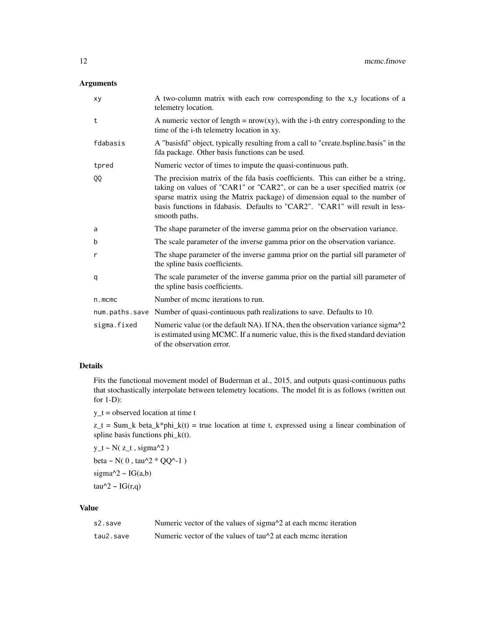## Arguments

| xy          | A two-column matrix with each row corresponding to the x,y locations of a<br>telemetry location.                                                                                                                                                                                                                                                |
|-------------|-------------------------------------------------------------------------------------------------------------------------------------------------------------------------------------------------------------------------------------------------------------------------------------------------------------------------------------------------|
| t           | A numeric vector of length = $nrow(xy)$ , with the i-th entry corresponding to the<br>time of the i-th telemetry location in xy.                                                                                                                                                                                                                |
| fdabasis    | A "basisfd" object, typically resulting from a call to "create.bspline.basis" in the<br>fda package. Other basis functions can be used.                                                                                                                                                                                                         |
| tpred       | Numeric vector of times to impute the quasi-continuous path.                                                                                                                                                                                                                                                                                    |
| QQ          | The precision matrix of the fda basis coefficients. This can either be a string,<br>taking on values of "CAR1" or "CAR2", or can be a user specified matrix (or<br>sparse matrix using the Matrix package) of dimension equal to the number of<br>basis functions in fdabasis. Defaults to "CAR2". "CAR1" will result in less-<br>smooth paths. |
| a           | The shape parameter of the inverse gamma prior on the observation variance.                                                                                                                                                                                                                                                                     |
| b           | The scale parameter of the inverse gamma prior on the observation variance.                                                                                                                                                                                                                                                                     |
| r           | The shape parameter of the inverse gamma prior on the partial sill parameter of<br>the spline basis coefficients.                                                                                                                                                                                                                               |
| q           | The scale parameter of the inverse gamma prior on the partial sill parameter of<br>the spline basis coefficients.                                                                                                                                                                                                                               |
| $n$ . mcmc  | Number of meme iterations to run.                                                                                                                                                                                                                                                                                                               |
|             | num.paths.save Number of quasi-continuous path realizations to save. Defaults to 10.                                                                                                                                                                                                                                                            |
| sigma.fixed | Numeric value (or the default NA). If NA, then the observation variance sigma^2<br>is estimated using MCMC. If a numeric value, this is the fixed standard deviation<br>of the observation error.                                                                                                                                               |

## Details

Fits the functional movement model of Buderman et al., 2015, and outputs quasi-continuous paths that stochastically interpolate between telemetry locations. The model fit is as follows (written out for 1-D):

y\_t = observed location at time t

 $z_t = Sum_k beta_k * phi_k(t) = true location at time t, expressed using a linear combination of$ spline basis functions phi\_k(t).

 $y_t - N(z_t, sigma^2)$ beta ~  $N(0, \tan^2 \sqrt[2a]{Q^2-1})$ sigma $\text{A}2 \sim \text{IG}(a,b)$ 

tau^2 ~  $IG(r,q)$ 

## Value

| s2.save   | Numeric vector of the values of sigma <sup><math>\lambda</math>2</sup> at each mcmc iteration |
|-----------|-----------------------------------------------------------------------------------------------|
| tau2.save | Numeric vector of the values of tau <sup><math>\lambda</math></sup> at each mcmc iteration    |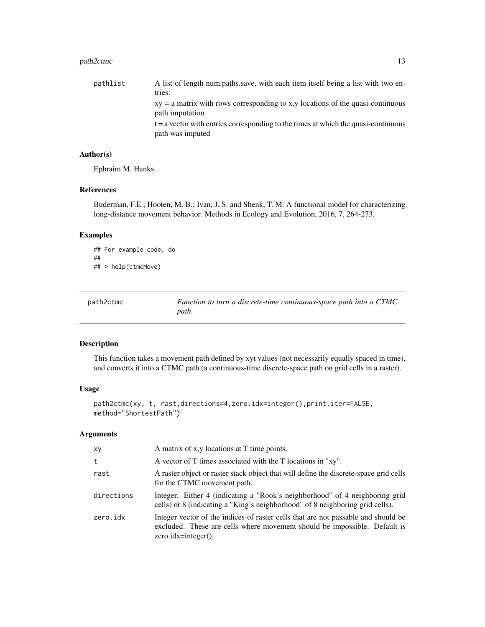## <span id="page-12-0"></span>path2ctmc 13

| pathlist | A list of length num.paths.save, with each item itself being a list with two en-                         |
|----------|----------------------------------------------------------------------------------------------------------|
|          | tries:                                                                                                   |
|          | $xy = a$ matrix with rows corresponding to x,y locations of the quasi-continuous<br>path imputation      |
|          | $t = a$ vector with entries corresponding to the times at which the quasi-continuous<br>path was imputed |

## Author(s)

Ephraim M. Hanks

## References

Buderman, F.E.; Hooten, M. B.; Ivan, J. S. and Shenk, T. M. A functional model for characterizing long-distance movement behavior. Methods in Ecology and Evolution, 2016, 7, 264-273.

## Examples

```
## For example code, do
##
## > help(ctmcMove)
```

| path2ctmc | Function to turn a discrete-time continuous-space path into a CTMC |
|-----------|--------------------------------------------------------------------|
|           | path.                                                              |

## Description

This function takes a movement path defined by xyt values (not necessarily equally spaced in time), and converts it into a CTMC path (a continuous-time discrete-space path on grid cells in a raster).

## Usage

```
path2ctmc(xy, t, rast,directions=4,zero.idx=integer(),print.iter=FALSE,
method="ShortestPath")
```

| xy         | A matrix of x,y locations at T time points.                                                                                                                                                |
|------------|--------------------------------------------------------------------------------------------------------------------------------------------------------------------------------------------|
| t          | A vector of T times associated with the T locations in "xy".                                                                                                                               |
| rast       | A raster object or raster stack object that will define the discrete-space grid cells<br>for the CTMC movement path.                                                                       |
| directions | Integer. Either 4 (indicating a "Rook's neighborhood" of 4 neighboring grid<br>cells) or 8 (indicating a "King's neighborhood" of 8 neighboring grid cells).                               |
| zero.idx   | Integer vector of the indices of raster cells that are not passable and should be<br>excluded. These are cells where movement should be impossible. Default is<br>$zero.idx = integer()$ . |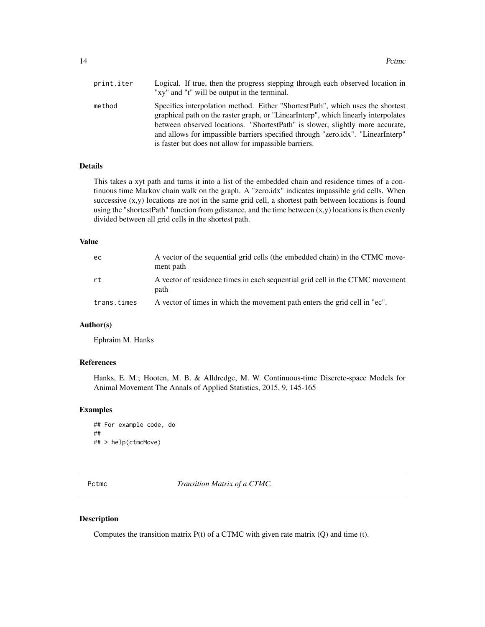<span id="page-13-0"></span>

| print.iter | Logical. If true, then the progress stepping through each observed location in<br>"xy" and "t" will be output in the terminal.                                                                                                                                                                                                                                                                    |
|------------|---------------------------------------------------------------------------------------------------------------------------------------------------------------------------------------------------------------------------------------------------------------------------------------------------------------------------------------------------------------------------------------------------|
| method     | Specifies interpolation method. Either "ShortestPath", which uses the shortest<br>graphical path on the raster graph, or "LinearInterp", which linearly interpolates<br>between observed locations. "ShortestPath" is slower, slightly more accurate,<br>and allows for impassible barriers specified through "zero.idx". "LinearInterp"<br>is faster but does not allow for impassible barriers. |

## Details

This takes a xyt path and turns it into a list of the embedded chain and residence times of a continuous time Markov chain walk on the graph. A "zero.idx" indicates impassible grid cells. When successive  $(x,y)$  locations are not in the same grid cell, a shortest path between locations is found using the "shortestPath" function from gdistance, and the time between (x,y) locations is then evenly divided between all grid cells in the shortest path.

#### Value

| ec          | A vector of the sequential grid cells (the embedded chain) in the CTMC move-<br>ment path |
|-------------|-------------------------------------------------------------------------------------------|
| rt          | A vector of residence times in each sequential grid cell in the CTMC movement<br>path     |
| trans.times | A vector of times in which the movement path enters the grid cell in "ec".                |

## Author(s)

Ephraim M. Hanks

## References

Hanks, E. M.; Hooten, M. B. & Alldredge, M. W. Continuous-time Discrete-space Models for Animal Movement The Annals of Applied Statistics, 2015, 9, 145-165

## Examples

```
## For example code, do
##
## > help(ctmcMove)
```
Pctmc *Transition Matrix of a CTMC*.

## Description

Computes the transition matrix  $P(t)$  of a CTMC with given rate matrix  $(Q)$  and time  $(t)$ .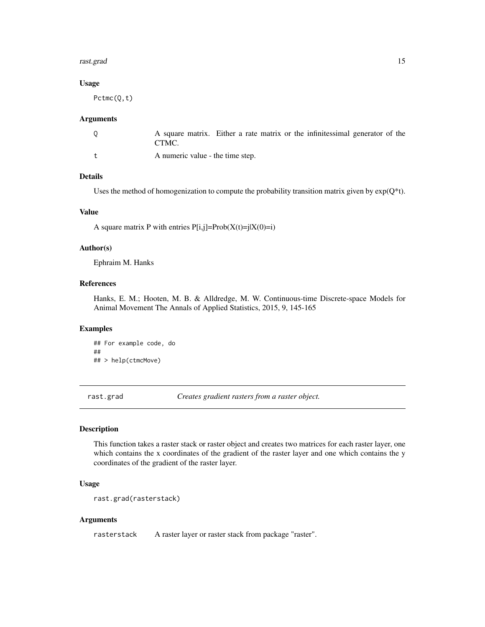#### <span id="page-14-0"></span>rast.grad 15

## Usage

Pctmc(Q,t)

#### Arguments

| A square matrix. Either a rate matrix or the infinitesimal generator of the |  |  |  |  |
|-----------------------------------------------------------------------------|--|--|--|--|
| CTMC.                                                                       |  |  |  |  |
| A numeric value - the time step.                                            |  |  |  |  |

## Details

Uses the method of homogenization to compute the probability transition matrix given by  $exp(Q^*t)$ .

## Value

A square matrix P with entries  $P[i,j]=Prob(X(t)=j|X(0)=i)$ 

## Author(s)

Ephraim M. Hanks

## References

Hanks, E. M.; Hooten, M. B. & Alldredge, M. W. Continuous-time Discrete-space Models for Animal Movement The Annals of Applied Statistics, 2015, 9, 145-165

## Examples

## For example code, do ## ## > help(ctmcMove)

rast.grad *Creates gradient rasters from a raster object.*

## Description

This function takes a raster stack or raster object and creates two matrices for each raster layer, one which contains the x coordinates of the gradient of the raster layer and one which contains the y coordinates of the gradient of the raster layer.

## Usage

```
rast.grad(rasterstack)
```
#### Arguments

rasterstack A raster layer or raster stack from package "raster".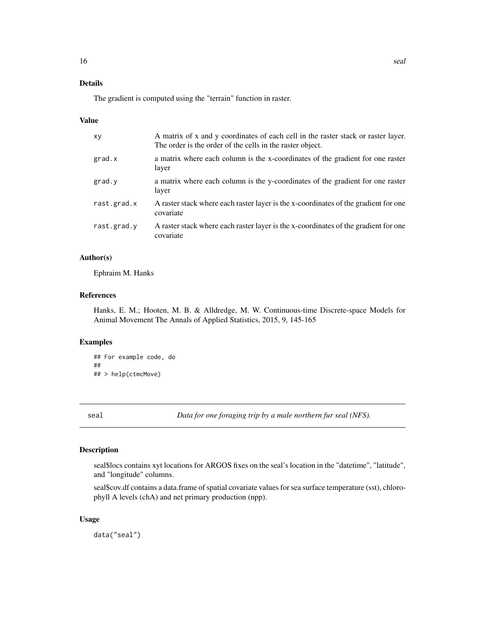## <span id="page-15-0"></span>Details

The gradient is computed using the "terrain" function in raster.

#### Value

| xy          | A matrix of x and y coordinates of each cell in the raster stack or raster layer.<br>The order is the order of the cells in the raster object. |
|-------------|------------------------------------------------------------------------------------------------------------------------------------------------|
| grad.x      | a matrix where each column is the x-coordinates of the gradient for one raster<br>layer                                                        |
| grad.y      | a matrix where each column is the y-coordinates of the gradient for one raster<br>layer                                                        |
| rast.grad.x | A raster stack where each raster layer is the x-coordinates of the gradient for one<br>covariate                                               |
| rast.grad.y | A raster stack where each raster layer is the x-coordinates of the gradient for one<br>covariate                                               |
|             |                                                                                                                                                |

## Author(s)

Ephraim M. Hanks

#### References

Hanks, E. M.; Hooten, M. B. & Alldredge, M. W. Continuous-time Discrete-space Models for Animal Movement The Annals of Applied Statistics, 2015, 9, 145-165

## Examples

```
## For example code, do
##
## > help(ctmcMove)
```
seal *Data for one foraging trip by a male northern fur seal (NFS).*

## Description

seal\$locs contains xyt locations for ARGOS fixes on the seal's location in the "datetime", "latitude", and "longitude" columns.

seal\$cov.df contains a data.frame of spatial covariate values for sea surface temperature (sst), chlorophyll A levels (chA) and net primary production (npp).

## Usage

data("seal")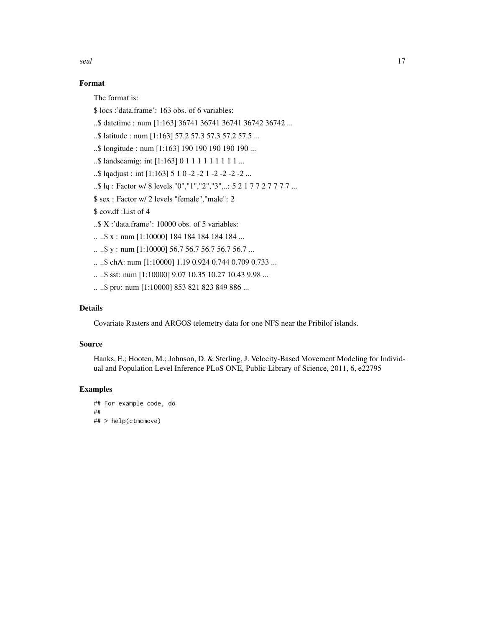seal and the seal of the seal of the seal of the seal of the seal of the seal of the seal of the seal of the seal of the seal of the seal of the seal of the seal of the seal of the seal of the seal of the seal of the seal

## Format

The format is:

\$ locs :'data.frame': 163 obs. of 6 variables:

..\$ datetime : num [1:163] 36741 36741 36741 36742 36742 ...

..\$ latitude : num [1:163] 57.2 57.3 57.3 57.2 57.5 ...

..\$ longitude : num [1:163] 190 190 190 190 190 ...

..\$ landseamig: int [1:163] 0 1 1 1 1 1 1 1 1 1 ...

..\$ lqadjust : int [1:163] 5 1 0 -2 -2 1 -2 -2 -2 -2 ...

..\$ lq : Factor w/ 8 levels "0","1","2","3",..: 5 2 1 7 7 2 7 7 7 7 ...

\$ sex : Factor w/ 2 levels "female","male": 2

\$ cov.df :List of 4

..\$ X :'data.frame': 10000 obs. of 5 variables:

.. ..\$ x : num [1:10000] 184 184 184 184 184 ...

 $\ldots$ \$ y : num [1:10000] 56.7 56.7 56.7 56.7 56.7 ...

.. ..\$ chA: num [1:10000] 1.19 0.924 0.744 0.709 0.733 ...

.. ..\$ sst: num [1:10000] 9.07 10.35 10.27 10.43 9.98 ...

.. ..\$ pro: num [1:10000] 853 821 823 849 886 ...

## Details

Covariate Rasters and ARGOS telemetry data for one NFS near the Pribilof islands.

## Source

Hanks, E.; Hooten, M.; Johnson, D. & Sterling, J. Velocity-Based Movement Modeling for Individual and Population Level Inference PLoS ONE, Public Library of Science, 2011, 6, e22795

## Examples

```
## For example code, do
##
## > help(ctmcmove)
```